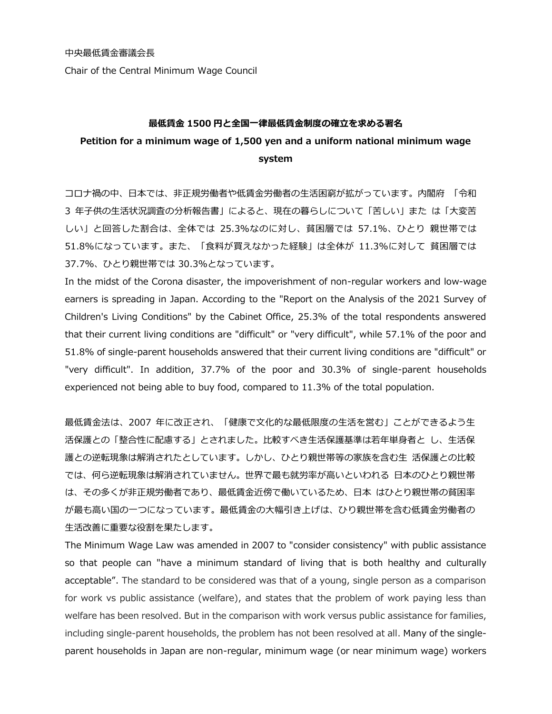Chair of the Central Minimum Wage Council

## **最低賃金 1500 円と全国一律最低賃金制度の確立を求める署名**

## **Petition for a minimum wage of 1,500 yen and a uniform national minimum wage system**

コロナ禍の中、日本では、非正規労働者や低賃金労働者の生活困窮が拡がっています。内閣府 「令和 3 年子供の生活状況調査の分析報告書」によると、現在の暮らしについて「苦しい」また は「大変苦 しい」と回答した割合は、全体では 25.3%なのに対し、貧困層では 57.1%、ひとり 親世帯では 51.8%になっています。また、「食料が買えなかった経験」は全体が 11.3%に対して 貧困層では 37.7%、ひとり親世帯では 30.3%となっています。

In the midst of the Corona disaster, the impoverishment of non-regular workers and low-wage earners is spreading in Japan. According to the "Report on the Analysis of the 2021 Survey of Children's Living Conditions" by the Cabinet Office, 25.3% of the total respondents answered that their current living conditions are "difficult" or "very difficult", while 57.1% of the poor and 51.8% of single-parent households answered that their current living conditions are "difficult" or "very difficult". In addition, 37.7% of the poor and 30.3% of single-parent households experienced not being able to buy food, compared to 11.3% of the total population.

最低賃金法は、2007 年に改正され、「健康で文化的な最低限度の生活を営む」ことができるよう生 活保護との「整合性に配慮する」とされました。比較すべき生活保護基準は若年単身者と し、生活保 護との逆転現象は解消されたとしています。しかし、ひとり親世帯等の家族を含む生 活保護との比較 では、何ら逆転現象は解消されていません。世界で最も就労率が高いといわれる 日本のひとり親世帯 は、その多くが非正規労働者であり、最低賃金近傍で働いているため、日本 はひとり親世帯の貧困率 が最も高い国の一つになっています。最低賃金の大幅引き上げは、ひり親世帯を含む低賃金労働者の 生活改善に重要な役割を果たします。

The Minimum Wage Law was amended in 2007 to "consider consistency" with public assistance so that people can "have a minimum standard of living that is both healthy and culturally acceptable". The standard to be considered was that of a young, single person as a comparison for work vs public assistance (welfare), and states that the problem of work paying less than welfare has been resolved. But in the comparison with work versus public assistance for families, including single-parent households, the problem has not been resolved at all. Many of the singleparent households in Japan are non-regular, minimum wage (or near minimum wage) workers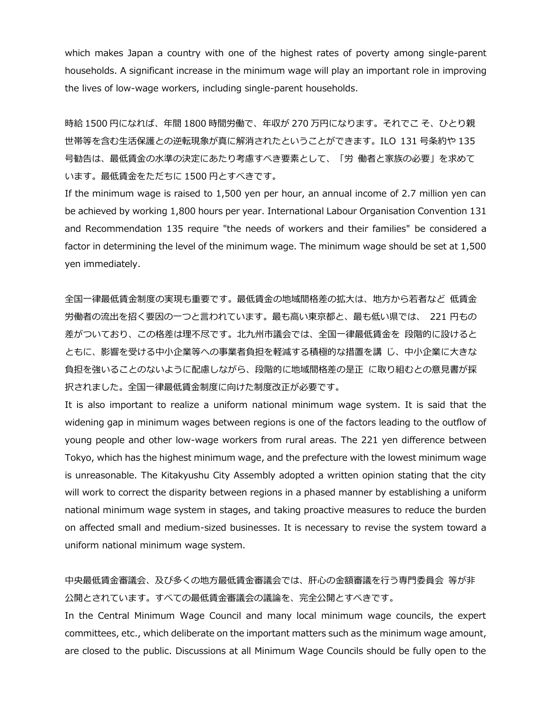which makes Japan a country with one of the highest rates of poverty among single-parent households. A significant increase in the minimum wage will play an important role in improving the lives of low-wage workers, including single-parent households.

時給 1500 円になれば、年間 1800 時間労働で、年収が 270 万円になります。それでこ そ、ひとり親 世帯等を含む生活保護との逆転現象が真に解消されたということができます。ILO 131 号条約や 135 号勧告は、最低賃金の水準の決定にあたり考慮すべき要素として、「労 働者と家族の必要」を求めて います。最低賃金をただちに 1500 円とすべきです。

If the minimum wage is raised to 1,500 yen per hour, an annual income of 2.7 million yen can be achieved by working 1,800 hours per year. International Labour Organisation Convention 131 and Recommendation 135 require "the needs of workers and their families" be considered a factor in determining the level of the minimum wage. The minimum wage should be set at 1,500 yen immediately.

全国一律最低賃金制度の実現も重要です。最低賃金の地域間格差の拡大は、地方から若者など 低賃金 労働者の流出を招く要因の一つと言われています。最も高い東京都と、最も低い県では、 221 円もの 差がついており、この格差は理不尽です。北九州市議会では、全国一律最低賃金を 段階的に設けると ともに、影響を受ける中小企業等への事業者負担を軽減する積極的な措置を講 じ、中小企業に大きな 負担を強いることのないように配慮しながら、段階的に地域間格差の是正 に取り組むとの意見書が採 択されました。全国一律最低賃金制度に向けた制度改正が必要です。

It is also important to realize a uniform national minimum wage system. It is said that the widening gap in minimum wages between regions is one of the factors leading to the outflow of young people and other low-wage workers from rural areas. The 221 yen difference between Tokyo, which has the highest minimum wage, and the prefecture with the lowest minimum wage is unreasonable. The Kitakyushu City Assembly adopted a written opinion stating that the city will work to correct the disparity between regions in a phased manner by establishing a uniform national minimum wage system in stages, and taking proactive measures to reduce the burden on affected small and medium-sized businesses. It is necessary to revise the system toward a uniform national minimum wage system.

## 中央最低賃金審議会、及び多くの地方最低賃金審議会では、肝心の金額審議を行う専門委員会 等が非 公開とされています。すべての最低賃金審議会の議論を、完全公開とすべきです。

In the Central Minimum Wage Council and many local minimum wage councils, the expert committees, etc., which deliberate on the important matters such as the minimum wage amount, are closed to the public. Discussions at all Minimum Wage Councils should be fully open to the